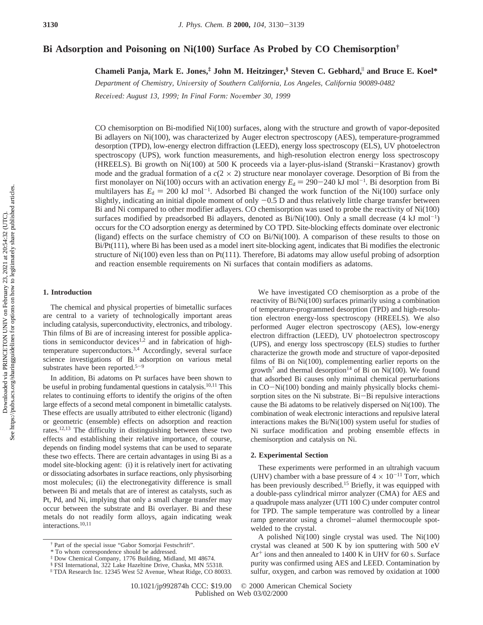# **Bi Adsorption and Poisoning on Ni(100) Surface As Probed by CO Chemisorption†**

**Chameli Panja, Mark E. Jones,‡ John M. Heitzinger,§ Steven C. Gebhard,**<sup>|</sup> **and Bruce E. Koel\***

*Department of Chemistry, Uni*V*ersity of Southern California, Los Angeles, California 90089-0482*

*Recei*V*ed: August 13, 1999; In Final Form: No*V*ember 30, 1999*

CO chemisorption on Bi-modified Ni(100) surfaces, along with the structure and growth of vapor-deposited Bi adlayers on Ni(100), was characterized by Auger electron spectroscopy (AES), temperature-programmed desorption (TPD), low-energy electron diffraction (LEED), energy loss spectroscopy (ELS), UV photoelectron spectroscopy (UPS), work function measurements, and high-resolution electron energy loss spectroscopy (HREELS). Bi growth on Ni(100) at 500 K proceeds via a layer-plus-island (Stranski-Krastanov) growth mode and the gradual formation of a  $c(2 \times 2)$  structure near monolayer coverage. Desorption of Bi from the first monolayer on Ni(100) occurs with an activation energy  $E_d = 290-240 \text{ kJ} \text{ mol}^{-1}$ . Bi desorption from Bi multilayers has  $F_t = 200 \text{ kJ} \text{ mol}^{-1}$ . Adsorbed Bi changed the work function of the Ni(100) surface only multilayers has  $E_d = 200 \text{ kJ} \text{ mol}^{-1}$ . Adsorbed Bi changed the work function of the Ni(100) surface only slightly indicating an initial dipole moment of only  $-0.5$  D and thus relatively little charge transfer between slightly, indicating an initial dipole moment of only  $-0.5$  D and thus relatively little charge transfer between Bi and Ni compared to other modifier adlayers. CO chemisorption was used to probe the reactivity of Ni(100) surfaces modified by preadsorbed Bi adlayers, denoted as Bi/Ni(100). Only a small decrease (4 kJ mol<sup>-1</sup>) occurs for the CO adsorption energy as determined by CO TPD. Site-blocking effects dominate over electronic (ligand) effects on the surface chemistry of CO on Bi/Ni(100). A comparison of these results to those on Bi/Pt(111), where Bi has been used as a model inert site-blocking agent, indicates that Bi modifies the electronic structure of Ni(100) even less than on Pt(111). Therefore, Bi adatoms may allow useful probing of adsorption and reaction ensemble requirements on Ni surfaces that contain modifiers as adatoms.

### **1. Introduction**

The chemical and physical properties of bimetallic surfaces are central to a variety of technologically important areas including catalysis, superconductivity, electronics, and tribology. Thin films of Bi are of increasing interest for possible applications in semiconductor devices<sup>1,2</sup> and in fabrication of hightemperature superconductors.<sup>3,4</sup> Accordingly, several surface science investigations of Bi adsorption on various metal substrates have been reported.<sup>5-9</sup>

In addition, Bi adatoms on Pt surfaces have been shown to be useful in probing fundamental questions in catalysis.10,11 This relates to continuing efforts to identify the origins of the often large effects of a second metal component in bimetallic catalysts. These effects are usually attributed to either electronic (ligand) or geometric (ensemble) effects on adsorption and reaction rates.12,13 The difficulty in distinguishing between these two effects and establishing their relative importance, of course, depends on finding model systems that can be used to separate these two effects. There are certain advantages in using Bi as a model site-blocking agent: (i) it is relatively inert for activating or dissociating adsorbates in surface reactions, only physisorbing most molecules; (ii) the electronegativity difference is small between Bi and metals that are of interest as catalysts, such as Pt, Pd, and Ni, implying that only a small charge transfer may occur between the substrate and Bi overlayer. Bi and these metals do not readily form alloys, again indicating weak interactions.10,11

We have investigated CO chemisorption as a probe of the reactivity of Bi/Ni(100) surfaces primarily using a combination of temperature-programmed desorption (TPD) and high-resolution electron energy-loss spectroscopy (HREELS). We also performed Auger electron spectroscopy (AES), low-energy electron diffraction (LEED), UV photoelectron spectroscopy (UPS), and energy loss spectroscopy (ELS) studies to further characterize the growth mode and structure of vapor-deposited films of Bi on Ni(100), complementing earlier reports on the growth<sup>7</sup> and thermal desorption<sup>14</sup> of Bi on Ni(100). We found that adsorbed Bi causes only minimal chemical perturbations in CO-Ni(100) bonding and mainly physically blocks chemisorption sites on the Ni substrate. Bi-Bi repulsive interactions cause the Bi adatoms to be relatively dispersed on Ni(100). The combination of weak electronic interactions and repulsive lateral interactions makes the Bi/Ni(100) system useful for studies of Ni surface modification and probing ensemble effects in chemisorption and catalysis on Ni.

### **2. Experimental Section**

These experiments were performed in an ultrahigh vacuum (UHV) chamber with a base pressure of  $4 \times 10^{-11}$  Torr, which has been previously described.<sup>15</sup> Briefly, it was equipped with a double-pass cylindrical mirror analyzer (CMA) for AES and a quadrupole mass analyzer (UTI 100 C) under computer control for TPD. The sample temperature was controlled by a linear ramp generator using a chromel-alumel thermocouple spotwelded to the crystal.

A polished Ni(100) single crystal was used. The Ni(100) crystal was cleaned at 500 K by ion sputtering with 500 eV  $Ar<sup>+</sup>$  ions and then annealed to 1400 K in UHV for 60 s. Surface purity was confirmed using AES and LEED. Contamination by sulfur, oxygen, and carbon was removed by oxidation at 1000

<sup>†</sup> Part of the special issue "Gabor Somorjai Festschrift".

<sup>\*</sup> To whom correspondence should be addressed.

<sup>‡</sup> Dow Chemical Company, 1776 Building, Midland, MI 48674.

<sup>§</sup> FSI International, 322 Lake Hazeltine Drive, Chaska, MN 55318.

<sup>|</sup> TDA Research Inc. 12345 West 52 Avenue, Wheat Ridge, CO 80033.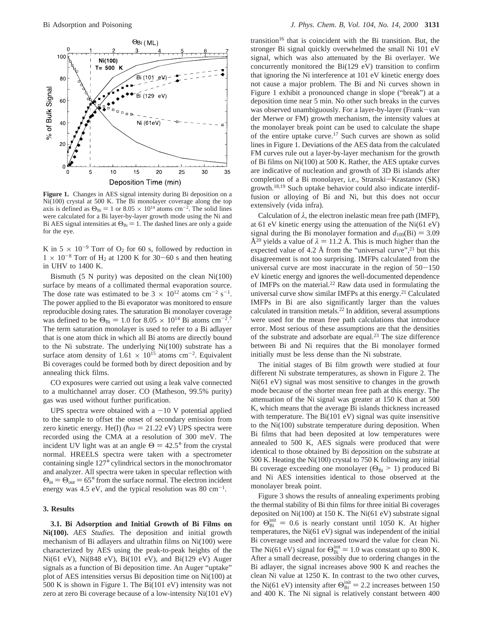

Figure 1. Changes in AES signal intensity during Bi deposition on a Ni(100) crystal at 500 K. The Bi monolayer coverage along the top axis is defined as  $\Theta_{\text{Bi}} = 1$  or  $8.05 \times 10^{14}$  atoms cm<sup>-2</sup>. The solid lines were calculated for a Bi layer-by-layer growth mode using the Ni and were calculated for a Bi layer-by-layer growth mode using the Ni and Bi AES signal intensities at  $\Theta_{\text{Bi}} = 1$ . The dashed lines are only a guide for the eye.

K in  $5 \times 10^{-9}$  Torr of O<sub>2</sub> for 60 s, followed by reduction in  $1 \times 10^{-8}$  Torr of H<sub>2</sub> at 1200 K for 30–60 s and then heating in UHV to 1400 K.

Bismuth (5 N purity) was deposited on the clean Ni(100) surface by means of a collimated thermal evaporation source. The dose rate was estimated to be  $3 \times 10^{12}$  atoms cm<sup>-2</sup> s<sup>-1</sup>. The power applied to the Bi evaporator was monitored to ensure reproducible dosing rates. The saturation Bi monolayer coverage was defined to be  $\Theta_{\text{Bi}} = 1.0$  for  $8.05 \times 10^{14}$  Bi atoms cm<sup>-2.7</sup><br>The term saturation monolayer is used to refer to a Bi adlayer The term saturation monolayer is used to refer to a Bi adlayer that is one atom thick in which all Bi atoms are directly bound to the Ni substrate. The underlying Ni(100) substrate has a surface atom density of 1.61  $\times$  10<sup>15</sup> atoms cm<sup>-2</sup>. Equivalent Bi coverages could be formed both by direct deposition and by annealing thick films.

CO exposures were carried out using a leak valve connected to a multichannel array doser. CO (Matheson, 99.5% purity) gas was used without further purification.

UPS spectra were obtained with a  $-10$  V potential applied to the sample to offset the onset of secondary emission from zero kinetic energy. He(I) ( $\hbar \omega = 21.22$  eV) UPS spectra were recorded using the CMA at a resolution of 300 meV. The incident UV light was at an angle  $\Theta = 42.5^{\circ}$  from the crystal normal. HREELS spectra were taken with a spectrometer containing single 127° cylindrical sectors in the monochromator and analyzer. All spectra were taken in specular reflection with  $\Theta_{\text{in}} = \Theta_{\text{out}} = 65^{\circ}$  from the surface normal. The electron incident energy was 4.5 eV, and the typical resolution was 80 cm<sup>-1</sup>.

### **3. Results**

**3.1. Bi Adsorption and Initial Growth of Bi Films on Ni(100).** *AES Studies.* The deposition and initial growth mechanism of Bi adlayers and ultrathin films on Ni(100) were characterized by AES using the peak-to-peak heights of the Ni(61 eV), Ni(848 eV), Bi(101 eV), and Bi(129 eV) Auger signals as a function of Bi deposition time. An Auger "uptake" plot of AES intensities versus Bi deposition time on Ni(100) at 500 K is shown in Figure 1. The Bi(101 eV) intensity was not zero at zero Bi coverage because of a low-intensity Ni(101 eV)

transition<sup>16</sup> that is coincident with the Bi transition. But, the stronger Bi signal quickly overwhelmed the small Ni 101 eV signal, which was also attenuated by the Bi overlayer. We concurrently monitored the Bi(129 eV) transition to confirm that ignoring the Ni interference at 101 eV kinetic energy does not cause a major problem. The Bi and Ni curves shown in Figure 1 exhibit a pronounced change in slope ("break") at a deposition time near 5 min. No other such breaks in the curves was observed unambiguously. For a layer-by-layer (Frank-van der Merwe or FM) growth mechanism, the intensity values at the monolayer break point can be used to calculate the shape of the entire uptake curve.17 Such curves are shown as solid lines in Figure 1. Deviations of the AES data from the calculated FM curves rule out a layer-by-layer mechanism for the growth of Bi films on Ni(100) at 500 K. Rather, the AES uptake curves are indicative of nucleation and growth of 3D Bi islands after completion of a Bi monolayer, i.e., Stranski–Krastanov (SK) growth.<sup>18,19</sup> Such uptake behavior could also indicate interdiffusion or alloying of Bi and Ni, but this does not occur extensively (vida infra).

Calculation of *λ*, the electron inelastic mean free path (IMFP), at 61 eV kinetic energy using the attenuation of the Ni(61 eV) signal during the Bi monolayer formation and  $d_{100}$ (Bi) = 3.09 Å<sup>20</sup> yields a value of  $\lambda = 11.2$  Å. This is much higher than the expected value of 4.2 Å from the "universal curve",<sup>21</sup> but this disagreement is not too surprising. IMFPs calculated from the universal curve are most inaccurate in the region of  $50-150$ eV kinetic energy and ignores the well-documented dependence of IMFPs on the material.22 Raw data used in formulating the universal curve show similar IMFPs at this energy.<sup>21</sup> Calculated IMFPs in Bi are also significantly larger than the values calculated in transition metals.22 In addition, several assumptions were used for the mean free path calculations that introduce error. Most serious of these assumptions are that the densities of the substrate and adsorbate are equal.23 The size difference between Bi and Ni requires that the Bi monolayer formed initially must be less dense than the Ni substrate.

The initial stages of Bi film growth were studied at four different Ni substrate temperatures, as shown in Figure 2. The Ni(61 eV) signal was most sensitive to changes in the growth mode because of the shorter mean free path at this energy. The attenuation of the Ni signal was greater at 150 K than at 500 K, which means that the average Bi islands thickness increased with temperature. The Bi(101 eV) signal was quite insensitive to the Ni(100) substrate temperature during deposition. When Bi films that had been deposited at low temperatures were annealed to 500 K, AES signals were produced that were identical to those obtained by Bi deposition on the substrate at 500 K. Heating the Ni(100) crystal to 750 K following any initial Bi coverage exceeding one monolayer ( $\Theta_{\text{Bi}}$  > 1) produced Bi and Ni AES intensities identical to those observed at the monolayer break point.

Figure 3 shows the results of annealing experiments probing the thermal stability of Bi thin films for three initial Bi coverages deposited on Ni(100) at 150 K. The Ni(61 eV) substrate signal for  $\Theta_{\text{Bi}}^{\text{init}} = 0.6$  is nearly constant until 1050 K. At higher temperatures the Ni(61 eV) signal was independent of the initial temperatures, the Ni(61 eV) signal was independent of the initial Bi coverage used and increased toward the value for clean Ni. The Ni(61 eV) signal for  $\Theta_{\text{Bi}}^{\text{init}} = 1.0$  was constant up to 800 K.<br>After a small decrease, possibly due to ordering changes in the After a small decrease, possibly due to ordering changes in the Bi adlayer, the signal increases above 900 K and reaches the clean Ni value at 1250 K. In contrast to the two other curves, the Ni(61 eV) intensity after  $\Theta_{\text{Bi}}^{\text{init}} = 2.2$  increases between 150 and 400 K. The Ni signal is relatively constant between 400 and 400 K. The Ni signal is relatively constant between 400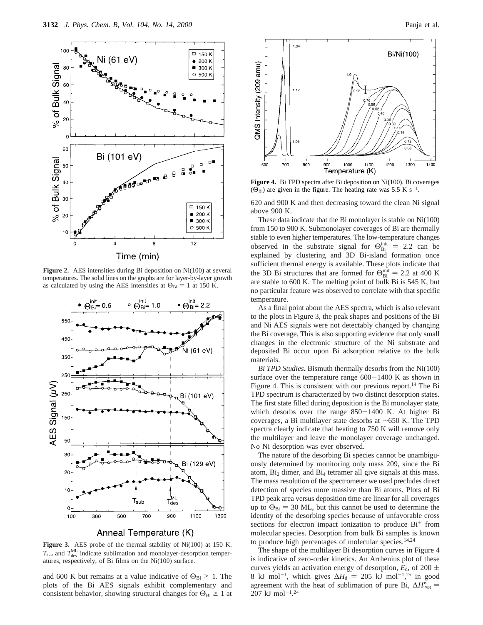

**Figure 2.** AES intensities during Bi deposition on Ni(100) at several temperatures. The solid lines on the graphs are for layer-by-layer growth as calculated by using the AES intensities at  $\Theta_{\text{Bi}} = 1$  at 150 K.



Anneal Temperature (K)

**Figure 3.** AES probe of the thermal stability of Ni(100) at 150 K.  $T_{\text{sub}}$  and  $T_{\text{des}}^{\text{ML}}$  indicate sublimation and monolayer-desorption temperatures, respectively, of Bi films on the Ni(100) surface.

and 600 K but remains at a value indicative of  $\Theta_{\text{Bi}} > 1$ . The plots of the Bi AES signals exhibit complementary and consistent behavior, showing structural changes for  $\Theta_{\text{Bi}} \ge 1$  at



**Figure 4.** Bi TPD spectra after Bi deposition on Ni(100). Bi coverages  $(\Theta_{\text{Bi}})$  are given in the figure. The heating rate was 5.5 K s<sup>-1</sup>.

620 and 900 K and then decreasing toward the clean Ni signal above 900 K.

These data indicate that the Bi monolayer is stable on Ni(100) from 150 to 900 K. Submonolayer coverages of Bi are thermally stable to even higher temperatures. The low-temperature changes observed in the substrate signal for  $\Theta_{\text{Bi}}^{\text{init}} = 2.2$  can be explained by clustering and 3D Bi-island formation once explained by clustering and 3D Bi-island formation once sufficient thermal energy is available. These plots indicate that the 3D Bi structures that are formed for  $\Theta_{\text{Bi}}^{\text{init}} = 2.2$  at 400 K<br>are stable to 600 K. The melting point of bulk Bi is 545 K but are stable to 600 K. The melting point of bulk Bi is 545 K, but no particular feature was observed to correlate with that specific temperature.

As a final point about the AES spectra, which is also relevant to the plots in Figure 3, the peak shapes and positions of the Bi and Ni AES signals were not detectably changed by changing the Bi coverage. This is also supporting evidence that only small changes in the electronic structure of the Ni substrate and deposited Bi occur upon Bi adsorption relative to the bulk materials.

*Bi TPD Studies***.** Bismuth thermally desorbs from the Ni(100) surface over the temperature range  $600-1400$  K as shown in Figure 4. This is consistent with our previous report.<sup>14</sup> The Bi TPD spectrum is characterized by two distinct desorption states. The first state filled during deposition is the Bi monolayer state, which desorbs over the range  $850-1400$  K. At higher Bi coverages, a Bi multilayer state desorbs at ∼650 K. The TPD spectra clearly indicate that heating to 750 K will remove only the multilayer and leave the monolayer coverage unchanged. No Ni desorption was ever observed.

The nature of the desorbing Bi species cannot be unambiguously determined by monitoring only mass 209, since the Bi atom, Bi2 dimer, and Bi4 tetramer all give signals at this mass. The mass resolution of the spectrometer we used precludes direct detection of species more massive than Bi atoms. Plots of Bi TPD peak area versus deposition time are linear for all coverages up to  $\Theta_{\text{Bi}} = 30$  ML, but this cannot be used to determine the identity of the desorbing species because of unfavorable cross sections for electron impact ionization to produce  $Bi^+$  from molecular species. Desorption from bulk Bi samples is known to produce high percentages of molecular species.<sup>14,24</sup>

The shape of the multilayer Bi desorption curves in Figure 4 is indicative of zero-order kinetics. An Arrhenius plot of these curves yields an activation energy of desorption,  $E_d$ , of 200  $\pm$ 8 kJ mol<sup>-1</sup>, which gives  $\Delta H_d = 205$  kJ mol<sup>-1</sup>,<sup>25</sup> in good agreement with the heat of sublimation of pure Bi  $\Delta H_c$  = agreement with the heat of sublimation of pure Bi,  $\Delta H_{298}^{\circ} =$ <br>207 kJ mol<sup>-1 24</sup>  $207 \text{ kJ mol}^{-1}$ .<sup>24</sup>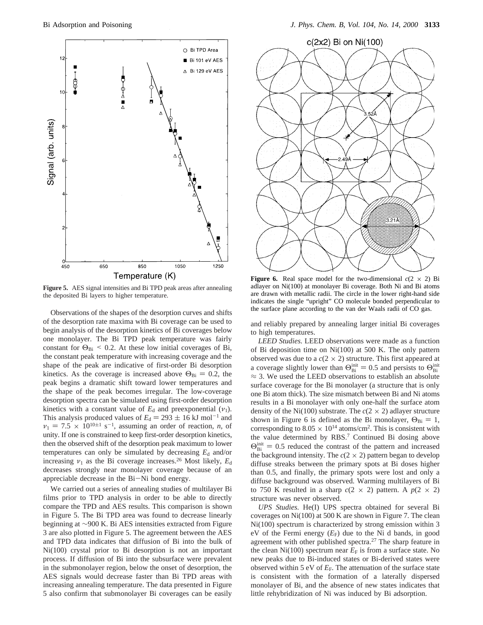

**Figure 5.** AES signal intensities and Bi TPD peak areas after annealing the deposited Bi layers to higher temperature.

Observations of the shapes of the desorption curves and shifts of the desorption rate maxima with Bi coverage can be used to begin analysis of the desorption kinetics of Bi coverages below one monolayer. The Bi TPD peak temperature was fairly constant for  $\Theta_{\text{Bi}}$  < 0.2. At these low initial coverages of Bi, the constant peak temperature with increasing coverage and the shape of the peak are indicative of first-order Bi desorption kinetics. As the coverage is increased above  $\Theta_{\text{Bi}} = 0.2$ , the peak begins a dramatic shift toward lower temperatures and the shape of the peak becomes irregular. The low-coverage desorption spectra can be simulated using first-order desorption kinetics with a constant value of  $E_d$  and preexponential  $(v_1)$ . This analysis produced values of  $E_d = 293 \pm 16$  kJ mol<sup>-1</sup> and  $v_1 = 7.5 \times 10^{10 \pm 1}$  s<sup>-1</sup>, assuming an order of reaction, *n*, of unity. If one is constrained to keep first-order desorption kinetics, then the observed shift of the desorption peak maximum to lower temperatures can only be simulated by decreasing  $E_d$  and/or increasing  $v_1$  as the Bi coverage increases.<sup>26</sup> Most likely,  $E_d$ decreases strongly near monolayer coverage because of an appreciable decrease in the Bi-Ni bond energy.

We carried out a series of annealing studies of multilayer Bi films prior to TPD analysis in order to be able to directly compare the TPD and AES results. This comparison is shown in Figure 5. The Bi TPD area was found to decrease linearly beginning at ∼900 K. Bi AES intensities extracted from Figure 3 are also plotted in Figure 5. The agreement between the AES and TPD data indicates that diffusion of Bi into the bulk of Ni(100) crystal prior to Bi desorption is not an important process. If diffusion of Bi into the subsurface were prevalent in the submonolayer region, below the onset of desorption, the AES signals would decrease faster than Bi TPD areas with increasing annealing temperature. The data presented in Figure 5 also confirm that submonolayer Bi coverages can be easily



**Figure 6.** Real space model for the two-dimensional  $c(2 \times 2)$  Bi adlayer on Ni(100) at monolayer Bi coverage. Both Ni and Bi atoms are drawn with metallic radii. The circle in the lower right-hand side indicates the single "upright" CO molecule bonded perpendicular to the surface plane according to the van der Waals radii of CO gas.

and reliably prepared by annealing larger initial Bi coverages to high temperatures.

*LEED Studies.* LEED observations were made as a function of Bi deposition time on Ni(100) at 500 K. The only pattern observed was due to a  $c(2 \times 2)$  structure. This first appeared at a coverage slightly lower than  $\Theta_{\text{Bi}}^{\text{init}} = 0.5$  and persists to  $\Theta_{\text{Bi}}^{\text{init}}$ <br> $\approx 3$ . We used the LEED observations to establish an absolute  $\approx$  3. We used the LEED observations to establish an absolute surface coverage for the Bi monolayer (a structure that is only one Bi atom thick). The size mismatch between Bi and Ni atoms results in a Bi monolayer with only one-half the surface atom density of the Ni(100) substrate. The  $c(2 \times 2)$  adlayer structure shown in Figure 6 is defined as the Bi monolayer,  $\Theta_{\text{Bi}} = 1$ , corresponding to  $8.05 \times 10^{14}$  atoms/cm<sup>2</sup>. This is consistent with the value determined by RBS.7 Continued Bi dosing above  $\Theta_{\text{Bi}}^{\text{init}} = 0.5$  reduced the contrast of the pattern and increased<br>the background intensity. The  $c(2 \times 2)$  pattern began to develop the background intensity. The  $c(2 \times 2)$  pattern began to develop diffuse streaks between the primary spots at Bi doses higher than 0.5, and finally, the primary spots were lost and only a diffuse background was observed. Warming multilayers of Bi to 750 K resulted in a sharp  $c(2 \times 2)$  pattern. A  $p(2 \times 2)$ structure was never observed.

*UPS Studies.* He(I) UPS spectra obtained for several Bi coverages on Ni(100) at 500 K are shown in Figure 7. The clean Ni(100) spectrum is characterized by strong emission within 3  $eV$  of the Fermi energy  $(E_F)$  due to the Ni d bands, in good agreement with other published spectra.<sup>27</sup> The sharp feature in the clean Ni(100) spectrum near  $E_F$  is from a surface state. No new peaks due to Bi-induced states or Bi-derived states were observed within 5 eV of  $E_F$ . The attenuation of the surface state is consistent with the formation of a laterally dispersed monolayer of Bi, and the absence of new states indicates that little rehybridization of Ni was induced by Bi adsorption.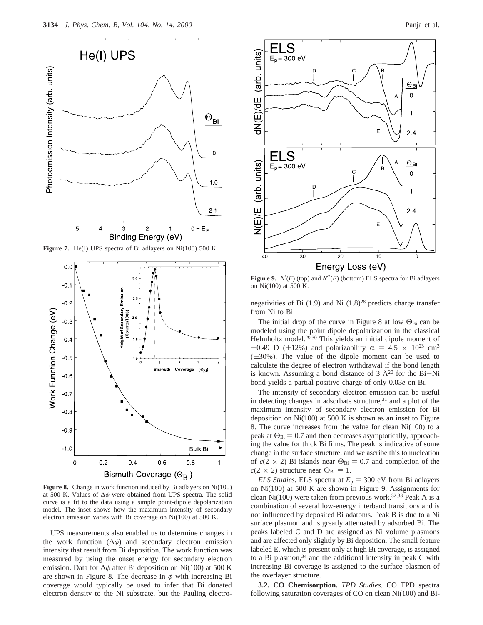

**Figure 7.** He(I) UPS spectra of Bi adlayers on Ni(100) 500 K.



**Figure 8.** Change in work function induced by Bi adlayers on Ni(100) at 500 K. Values of ∆*φ* were obtained from UPS spectra. The solid curve is a fit to the data using a simple point-dipole depolarization model. The inset shows how the maximum intensity of secondary electron emission varies with Bi coverage on Ni(100) at 500 K.

UPS measurements also enabled us to determine changes in the work function (∆*φ*) and secondary electron emission intensity that result from Bi deposition. The work function was measured by using the onset energy for secondary electron emission. Data for ∆*φ* after Bi deposition on Ni(100) at 500 K are shown in Figure 8. The decrease in  $\phi$  with increasing Bi coverage would typically be used to infer that Bi donated electron density to the Ni substrate, but the Pauling electro-



**Figure 9.**  $N'(E)$  (top) and  $N''(E)$  (bottom) ELS spectra for Bi adlayers on Ni(100) at 500 K.

negativities of Bi (1.9) and Ni (1.8)28 predicts charge transfer from Ni to Bi.

The initial drop of the curve in Figure 8 at low  $\Theta_{Bi}$  can be modeled using the point dipole depolarization in the classical Helmholtz model.<sup>29,30</sup> This yields an initial dipole moment of  $-0.49$  D ( $\pm 12\%$ ) and polarizability  $\alpha = 4.5 \times 10^{23}$  cm<sup>3</sup>  $(\pm 30\%)$ . The value of the dipole moment can be used to calculate the degree of electron withdrawal if the bond length is known. Assuming a bond distance of  $3 \text{ Å}^{20}$  for the Bi-Ni bond yields a partial positive charge of only 0.03*e* on Bi.

The intensity of secondary electron emission can be useful in detecting changes in adsorbate structure, $31$  and a plot of the maximum intensity of secondary electron emission for Bi deposition on  $Ni(100)$  at 500 K is shown as an inset to Figure 8. The curve increases from the value for clean Ni(100) to a peak at  $\Theta_{\text{Bi}} = 0.7$  and then decreases asymptotically, approaching the value for thick Bi films. The peak is indicative of some change in the surface structure, and we ascribe this to nucleation of  $c(2 \times 2)$  Bi islands near  $\Theta_{\text{Bi}} = 0.7$  and completion of the  $c(2 \times 2)$  structure near  $\Theta_{\text{Bi}} = 1$ .

*ELS Studies.* ELS spectra at  $E_p = 300$  eV from Bi adlayers on Ni(100) at 500 K are shown in Figure 9. Assignments for clean Ni(100) were taken from previous work.<sup>32,33</sup> Peak A is a combination of several low-energy interband transitions and is not influenced by deposited Bi adatoms. Peak B is due to a Ni surface plasmon and is greatly attenuated by adsorbed Bi. The peaks labeled C and D are assigned as Ni volume plasmons and are affected only slightly by Bi deposition. The small feature labeled E, which is present only at high Bi coverage, is assigned to a Bi plasmon, $34$  and the additional intensity in peak C with increasing Bi coverage is assigned to the surface plasmon of the overlayer structure.

**3.2. CO Chemisorption.** *TPD Studies.* CO TPD spectra following saturation coverages of CO on clean Ni(100) and Bi-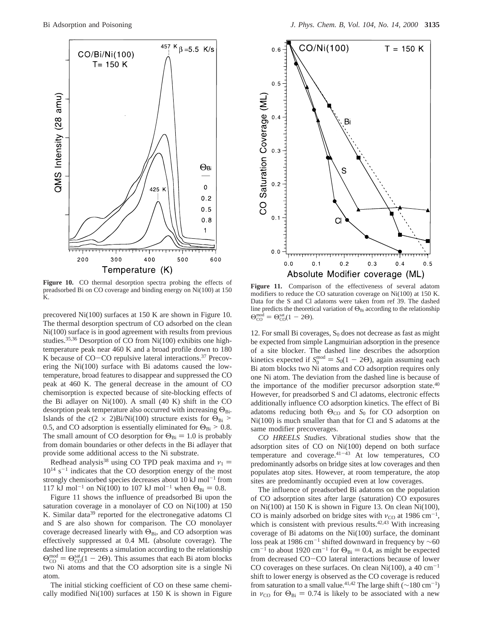

**Figure 10.** CO thermal desorption spectra probing the effects of preadsorbed Bi on CO coverage and binding energy on Ni(100) at 150 K.

precovered Ni(100) surfaces at 150 K are shown in Figure 10. The thermal desorption spectrum of CO adsorbed on the clean Ni(100) surface is in good agreement with results from previous studies.<sup>35,36</sup> Desorption of CO from Ni(100) exhibits one hightemperature peak near 460 K and a broad profile down to 180 K because of CO–CO repulsive lateral interactions.<sup>37</sup> Precovering the Ni(100) surface with Bi adatoms caused the lowtemperature, broad features to disappear and suppressed the CO peak at 460 K. The general decrease in the amount of CO chemisorption is expected because of site-blocking effects of the Bi adlayer on Ni(100). A small (40 K) shift in the CO desorption peak temperature also occurred with increasing  $\Theta_{\text{Bi}}$ . Islands of the  $c(2 \times 2)$ Bi/Ni(100) structure exists for  $\Theta_{\text{Bi}}$  > 0.5, and CO adsorption is essentially eliminated for  $\Theta_{\text{Bi}}$  > 0.8. The small amount of CO desorption for  $\Theta_{\text{Bi}} = 1.0$  is probably from domain boundaries or other defects in the Bi adlayer that provide some additional access to the Ni substrate.

Redhead analysis<sup>38</sup> using CO TPD peak maxima and  $v_1$  =  $10^{14}$  s<sup>-1</sup> indicates that the CO desorption energy of the most strongly chemisorbed species decreases about  $10 \text{ kJ} \text{ mol}^{-1}$  from 117 kJ mol<sup>-1</sup> on Ni(100) to 107 kJ mol<sup>-1</sup> when  $\Theta_{\text{Bi}} = 0.8$ .

Figure 11 shows the influence of preadsorbed Bi upon the saturation coverage in a monolayer of CO on Ni(100) at 150 K. Similar data<sup>39</sup> reported for the electronegative adatoms Cl and S are also shown for comparison. The CO monolayer coverage decreased linearly with  $\Theta_{\text{Bi}}$ , and CO adsorption was effectively suppressed at 0.4 ML (absolute coverage). The dashed line represents a simulation according to the relationship  $\Theta_{\text{CO}}^{\text{mod}} = \Theta_{\text{CO}}^{\text{sat}}(1 - 2\Theta)$ . This assumes that each Bi atom blocks two Ni atoms and that the CO adsorption site is a single Ni atom.

The initial sticking coefficient of CO on these same chemically modified Ni(100) surfaces at 150 K is shown in Figure



**Figure 11.** Comparison of the effectiveness of several adatom modifiers to reduce the CO saturation coverage on Ni(100) at 150 K. Data for the S and Cl adatoms were taken from ref 39. The dashed line predicts the theoretical variation of  $\Theta_{\text{Bi}}$  according to the relationship  $\Theta_{\rm CO}^{\rm mod} = \Theta_{\rm CO}^{\rm sat} (1 - 2\Theta).$ 

12. For small Bi coverages,  $S_0$  does not decrease as fast as might be expected from simple Langmuirian adsorption in the presence of a site blocker. The dashed line describes the adsorption kinetics expected if  $S_0^{\text{mod}} = S_0(1 - 2\Theta)$ , again assuming each Bi atom blocks two Ni atoms and CO adsorption requires only Bi atom blocks two Ni atoms and CO adsorption requires only one Ni atom. The deviation from the dashed line is because of the importance of the modifier precursor adsorption state.<sup>40</sup> However, for preadsorbed S and Cl adatoms, electronic effects additionally influence CO adsorption kinetics. The effect of Bi adatoms reducing both Θ<sub>CO</sub> and *S*<sub>0</sub> for CO adsorption on Ni(100) is much smaller than that for Cl and S adatoms at the same modifier precoverages.

*CO HREELS Studies.* Vibrational studies show that the adsorption sites of CO on Ni(100) depend on both surface temperature and coverage. $41-43$  At low temperatures, CO predominantly adsorbs on bridge sites at low coverages and then populates atop sites. However, at room temperature, the atop sites are predominantly occupied even at low coverages.

The influence of preadsorbed Bi adatoms on the population of CO adsorption sites after large (saturation) CO exposures on Ni(100) at 150 K is shown in Figure 13. On clean Ni(100), CO is mainly adsorbed on bridge sites with  $v_{\text{CO}}$  at 1986 cm<sup>-1</sup>, which is consistent with previous results. $42,43$  With increasing coverage of Bi adatoms on the Ni(100) surface, the dominant loss peak at 1986 cm-<sup>1</sup> shifted downward in frequency by ∼60 cm<sup>-1</sup> to about 1920 cm<sup>-1</sup> for  $\Theta_{\text{Bi}} = 0.4$ , as might be expected from decreased CO-CO lateral interactions because of lower CO coverages on these surfaces. On clean Ni(100), a 40 cm<sup>-1</sup> shift to lower energy is observed as the CO coverage is reduced from saturation to a small value.<sup>41,42</sup> The large shift ( $\sim$ 180 cm<sup>-1</sup>) in  $\nu_{\text{CO}}$  for  $\Theta_{\text{Bi}} = 0.74$  is likely to be associated with a new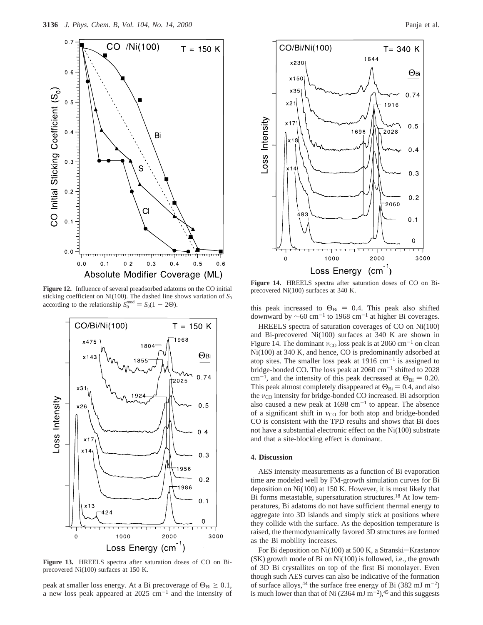

**Figure 12.** Influence of several preadsorbed adatoms on the CO initial sticking coefficient on Ni(100). The dashed line shows variation of  $S_0$ according to the relationship  $S_0^{\text{mod}} = S_0(1 - 2\Theta)$ .



**Figure 13.** HREELS spectra after saturation doses of CO on Biprecovered Ni(100) surfaces at 150 K.

peak at smaller loss energy. At a Bi precoverage of  $\Theta_{\text{Bi}} \geq 0.1$ , a new loss peak appeared at  $2025 \text{ cm}^{-1}$  and the intensity of



**Figure 14.** HREELS spectra after saturation doses of CO on Biprecovered Ni(100) surfaces at 340 K.

this peak increased to  $\Theta_{\text{Bi}} = 0.4$ . This peak also shifted downward by  $\sim 60 \text{ cm}^{-1}$  to 1968 cm<sup>-1</sup> at higher Bi coverages.

HREELS spectra of saturation coverages of CO on Ni(100) and Bi-precovered Ni(100) surfaces at 340 K are shown in Figure 14. The dominant  $v_{\rm CO}$  loss peak is at 2060 cm<sup>-1</sup> on clean Ni(100) at 340 K, and hence, CO is predominantly adsorbed at atop sites. The smaller loss peak at  $1916 \text{ cm}^{-1}$  is assigned to bridge-bonded CO. The loss peak at 2060 cm<sup>-1</sup> shifted to 2028 cm<sup>-1</sup>, and the intensity of this peak decreased at  $\Theta_{\text{Bi}} = 0.20$ . This peak almost completely disappeared at  $\Theta_{\text{Bi}} = 0.4$ , and also the  $v_{\rm CO}$  intensity for bridge-bonded CO increased. Bi adsorption also caused a new peak at  $1698 \text{ cm}^{-1}$  to appear. The absence of a significant shift in *ν*<sub>CO</sub> for both atop and bridge-bonded CO is consistent with the TPD results and shows that Bi does not have a substantial electronic effect on the Ni(100) substrate and that a site-blocking effect is dominant.

## **4. Discussion**

AES intensity measurements as a function of Bi evaporation time are modeled well by FM-growth simulation curves for Bi deposition on Ni(100) at 150 K. However, it is most likely that Bi forms metastable, supersaturation structures.<sup>18</sup> At low temperatures, Bi adatoms do not have sufficient thermal energy to aggregate into 3D islands and simply stick at positions where they collide with the surface. As the deposition temperature is raised, the thermodynamically favored 3D structures are formed as the Bi mobility increases.

For Bi deposition on Ni(100) at 500 K, a Stranski-Krastanov (SK) growth mode of Bi on Ni(100) is followed, i.e., the growth of 3D Bi crystallites on top of the first Bi monolayer. Even though such AES curves can also be indicative of the formation of surface alloys,<sup>44</sup> the surface free energy of Bi (382 mJ m<sup>-2</sup>) is much lower than that of Ni  $(2364 \text{ mJ m}^{-2})$ ,<sup>45</sup> and this suggests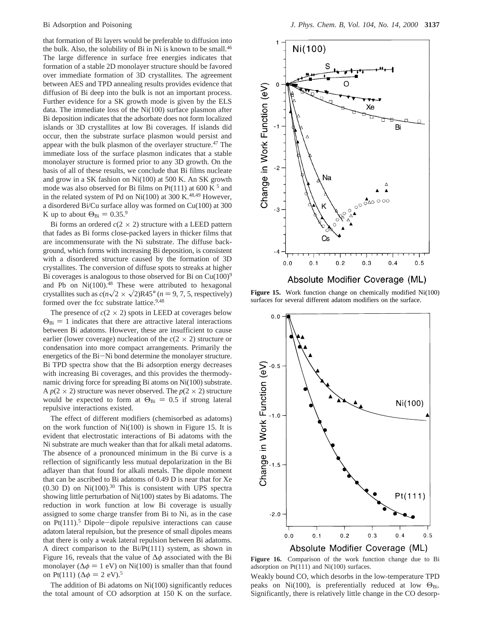that formation of Bi layers would be preferable to diffusion into the bulk. Also, the solubility of Bi in Ni is known to be small.<sup>46</sup> The large difference in surface free energies indicates that formation of a stable 2D monolayer structure should be favored over immediate formation of 3D crystallites. The agreement between AES and TPD annealing results provides evidence that diffusion of Bi deep into the bulk is not an important process. Further evidence for a SK growth mode is given by the ELS data. The immediate loss of the Ni(100) surface plasmon after Bi deposition indicates that the adsorbate does not form localized islands or 3D crystallites at low Bi coverages. If islands did occur, then the substrate surface plasmon would persist and appear with the bulk plasmon of the overlayer structure.<sup>47</sup> The immediate loss of the surface plasmon indicates that a stable monolayer structure is formed prior to any 3D growth. On the basis of all of these results, we conclude that Bi films nucleate and grow in a SK fashion on Ni(100) at 500 K. An SK growth mode was also observed for Bi films on Pt(111) at 600 K  $^5$  and in the related system of Pd on Ni(100) at 300 K.<sup>48,49</sup> However, a disordered Bi/Cu surface alloy was formed on Cu(100) at 300 K up to about  $\Theta_{\text{Bi}} = 0.35$ .<sup>9</sup>

Bi forms an ordered  $c(2 \times 2)$  structure with a LEED pattern that fades as Bi forms close-packed layers in thicker films that are incommensurate with the Ni substrate. The diffuse background, which forms with increasing Bi deposition, is consistent with a disordered structure caused by the formation of 3D crystallites. The conversion of diffuse spots to streaks at higher Bi coverages is analogous to those observed for Bi on  $Cu(100)^9$ and Pb on  $Ni(100).48$  These were attributed to hexagonal crystallites such as  $c(n\sqrt{2} \times \sqrt{2})R45^\circ$  (*n* = 9, 7, 5, respectively) formed over the fcc substrate lattice.<sup>9,48</sup>

The presence of  $c(2 \times 2)$  spots in LEED at coverages below  $\Theta_{\text{Bi}} = 1$  indicates that there are attractive lateral interactions between Bi adatoms. However, these are insufficient to cause earlier (lower coverage) nucleation of the  $c(2 \times 2)$  structure or condensation into more compact arrangements. Primarily the energetics of the Bi-Ni bond determine the monolayer structure. Bi TPD spectra show that the Bi adsorption energy decreases with increasing Bi coverages, and this provides the thermodynamic driving force for spreading Bi atoms on Ni(100) substrate. A  $p(2 \times 2)$  structure was never observed. The  $p(2 \times 2)$  structure would be expected to form at  $\Theta_{\text{Bi}} = 0.5$  if strong lateral repulsive interactions existed.

The effect of different modifiers (chemisorbed as adatoms) on the work function of Ni(100) is shown in Figure 15. It is evident that electrostatic interactions of Bi adatoms with the Ni substrate are much weaker than that for alkali metal adatoms. The absence of a pronounced minimum in the Bi curve is a reflection of significantly less mutual depolarization in the Bi adlayer than that found for alkali metals. The dipole moment that can be ascribed to Bi adatoms of 0.49 D is near that for Xe (0.30 D) on Ni(100).30 This is consistent with UPS spectra showing little perturbation of Ni(100) states by Bi adatoms. The reduction in work function at low Bi coverage is usually assigned to some charge transfer from Bi to Ni, as in the case on  $Pt(111).5$  Dipole-dipole repulsive interactions can cause adatom lateral repulsion, but the presence of small dipoles means that there is only a weak lateral repulsion between Bi adatoms. A direct comparison to the Bi/Pt(111) system, as shown in Figure 16, reveals that the value of ∆*φ* associated with the Bi monolayer ( $\Delta \phi = 1$  eV) on Ni(100) is smaller than that found on Pt(111) ( $\Delta \phi = 2$  eV).<sup>5</sup>

The addition of Bi adatoms on Ni(100) significantly reduces the total amount of CO adsorption at 150 K on the surface.



**Figure 15.** Work function change on chemically modified Ni(100) surfaces for several different adatom modifiers on the surface.



**Figure 16.** Comparison of the work function change due to Bi adsorption on Pt(111) and Ni(100) surfaces.

Weakly bound CO, which desorbs in the low-temperature TPD peaks on Ni(100), is preferentially reduced at low  $\Theta_{\text{Bi}}$ . Significantly, there is relatively little change in the CO desorp-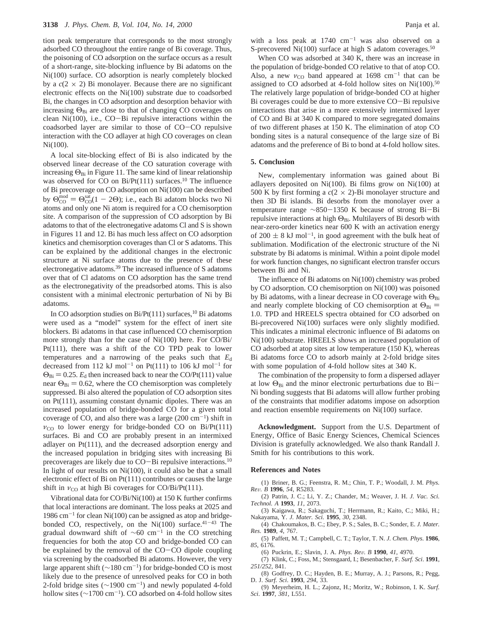tion peak temperature that corresponds to the most strongly adsorbed CO throughout the entire range of Bi coverage. Thus, the poisoning of CO adsorption on the surface occurs as a result of a short-range, site-blocking influence by Bi adatoms on the Ni(100) surface. CO adsorption is nearly completely blocked by a  $c(2 \times 2)$  Bi monolayer. Because there are no significant electronic effects on the Ni(100) substrate due to coadsorbed Bi, the changes in CO adsorption and desorption behavior with increasing  $\Theta_{\text{Bi}}$  are close to that of changing CO coverages on clean Ni(100), i.e., CO-Bi repulsive interactions within the coadsorbed layer are similar to those of CO-CO repulsive interaction with the CO adlayer at high CO coverages on clean Ni(100).

A local site-blocking effect of Bi is also indicated by the observed linear decrease of the CO saturation coverage with increasing  $\Theta_{\text{Bi}}$  in Figure 11. The same kind of linear relationship was observed for CO on  $Bi/Pt(111)$  surfaces.<sup>10</sup> The influence of Bi precoverage on CO adsorption on Ni(100) can be described by  $\Theta_{\text{CO}}^{\text{mod}} = \Theta_{\text{CO}}^{\text{sat}}(1-2\Theta)$ ; i.e., each Bi adatom blocks two Ni atoms and only one Ni atom is required for a CO chemisorption site. A comparison of the suppression of CO adsorption by Bi adatoms to that of the electronegative adatoms Cl and S is shown in Figures 11 and 12. Bi has much less affect on CO adsorption kinetics and chemisorption coverages than Cl or S adatoms. This can be explained by the additional changes in the electronic structure at Ni surface atoms due to the presence of these electronegative adatoms.39 The increased influence of S adatoms over that of Cl adatoms on CO adsorption has the same trend as the electronegativity of the preadsorbed atoms. This is also consistent with a minimal electronic perturbation of Ni by Bi adatoms.

In CO adsorption studies on Bi/Pt(111) surfaces,  $^{10}$  Bi adatoms were used as a "model" system for the effect of inert site blockers. Bi adatoms in that case influenced CO chemisorption more strongly than for the case of Ni(100) here. For CO/Bi/ Pt(111), there was a shift of the CO TPD peak to lower temperatures and a narrowing of the peaks such that  $E_d$ decreased from 112 kJ mol<sup>-1</sup> on Pt(111) to 106 kJ mol<sup>-1</sup> for  $\Theta_{\text{Bi}} = 0.25$ .  $E_{\text{d}}$  then increased back to near the CO/Pt(111) value near  $\Theta_{\text{Bi}} = 0.62$ , where the CO chemisorption was completely suppressed. Bi also altered the population of CO adsorption sites on Pt(111), assuming constant dynamic dipoles. There was an increased population of bridge-bonded CO for a given total coverage of CO, and also there was a large  $(200 \text{ cm}^{-1})$  shift in  $v_{\text{CO}}$  to lower energy for bridge-bonded CO on Bi/Pt(111) surfaces. Bi and CO are probably present in an intermixed adlayer on Pt(111), and the decreased adsorption energy and the increased population in bridging sites with increasing Bi precoverages are likely due to CO-Bi repulsive interactions.10 In light of our results on Ni(100), it could also be that a small electronic effect of Bi on Pt(111) contributes or causes the large shift in  $v_{\text{CO}}$  at high Bi coverages for CO/Bi/Pt(111).

Vibrational data for CO/Bi/Ni(100) at 150 K further confirms that local interactions are dominant. The loss peaks at 2025 and 1986  $cm^{-1}$  for clean Ni(100) can be assigned as atop and bridgebonded CO, respectively, on the  $Ni(100)$  surface.<sup>41-43</sup> The gradual downward shift of  $\sim 60$  cm<sup>-1</sup> in the CO stretching frequencies for both the atop CO and bridge-bonded CO can be explained by the removal of the CO-CO dipole coupling via screening by the coadsorbed Bi adatoms. However, the very large apparent shift ( $\sim$ 180 cm<sup>-1</sup>) for bridge-bonded CO is most likely due to the presence of unresolved peaks for CO in both 2-fold bridge sites ( $\sim$ 1900 cm<sup>-1</sup>) and newly populated 4-fold hollow sites ( $\sim$ 1700 cm<sup>-1</sup>). CO adsorbed on 4-fold hollow sites

with a loss peak at  $1740 \text{ cm}^{-1}$  was also observed on a S-precovered Ni(100) surface at high S adatom coverages.<sup>50</sup>

When CO was adsorbed at 340 K, there was an increase in the population of bridge-bonded CO relative to that of atop CO. Also, a new  $v_{\rm CO}$  band appeared at 1698 cm<sup>-1</sup> that can be assigned to CO adsorbed at 4-fold hollow sites on  $Ni(100).<sup>50</sup>$ The relatively large population of bridge-bonded CO at higher Bi coverages could be due to more extensive CO-Bi repulsive interactions that arise in a more extensively intermixed layer of CO and Bi at 340 K compared to more segregated domains of two different phases at 150 K. The elimination of atop CO bonding sites is a natural consequence of the large size of Bi adatoms and the preference of Bi to bond at 4-fold hollow sites.

### **5. Conclusion**

New, complementary information was gained about Bi adlayers deposited on Ni(100). Bi films grow on Ni(100) at 500 K by first forming a  $c(2 \times 2)$ -Bi monolayer structure and then 3D Bi islands. Bi desorbs from the monolayer over a temperature range <sup>∼</sup>850-1350 K because of strong Bi-Bi repulsive interactions at high  $\Theta_{\text{Bi}}$ . Multilayers of Bi desorb with near-zero-order kinetics near 600 K with an activation energy of 200  $\pm$  8 kJ mol<sup>-1</sup>, in good agreement with the bulk heat of sublimation. Modification of the electronic structure of the Ni substrate by Bi adatoms is minimal. Within a point dipole model for work function changes, no significant electron transfer occurs between Bi and Ni.

The influence of Bi adatoms on Ni(100) chemistry was probed by CO adsorption. CO chemisorption on Ni(100) was poisoned by Bi adatoms, with a linear decrease in CO coverage with  $\Theta_{\text{Bi}}$ and nearly complete blocking of CO chemisorption at  $\Theta_{\text{Bi}} =$ 1.0. TPD and HREELS spectra obtained for CO adsorbed on Bi-precovered Ni(100) surfaces were only slightly modified. This indicates a minimal electronic influence of Bi adatoms on Ni(100) substrate. HREELS shows an increased population of CO adsorbed at atop sites at low temperature (150 K), whereas Bi adatoms force CO to adsorb mainly at 2-fold bridge sites with some population of 4-fold hollow sites at 340 K.

The combination of the propensity to form a dispersed adlayer at low  $\Theta_{\text{Bi}}$  and the minor electronic perturbations due to Bi-Ni bonding suggests that Bi adatoms will allow further probing of the constraints that modifier adatoms impose on adsorption and reaction ensemble requirements on Ni(100) surface.

**Acknowledgment.** Support from the U.S. Department of Energy, Office of Basic Energy Sciences, Chemical Sciences Division is gratefully acknowledged. We also thank Randall J. Smith for his contributions to this work.

#### **References and Notes**

(1) Briner, B. G.; Feenstra, R. M.; Chin, T. P.; Woodall, J. M. *Phys. Re*V*. B* **<sup>1996</sup>**, *<sup>54</sup>*, R5283.

(2) Patrin, J. C.; Li, Y. Z.; Chander, M.; Weaver, J. H. *J. Vac. Sci. Technol. A* **1993**, *11*, 2073.

(3) Kaigawa, R.; Sakaguchi, T.; Herrmann, R.; Kaito, C.; Miki, H.; Nakayama, Y*. J. Mater. Sci.* **1995**, *30*, 2348.

(4) Chakoumakos, B. C.; Ebey, P. S.; Sales, B. C.; Sonder, E. *J. Mater. Res.* **1989**, *4*, 767.

(5) Paffett, M. T.; Campbell, C. T.; Taylor, T. N. *J. Chem. Phys.* **1986**, *85*, 6176.

(6) Puckrin, E.; Slavin, J. A. *Phys. Re*V*. B* **<sup>1990</sup>**, *<sup>41</sup>*, 4970.

(7) Klink, C.; Foss, M.; Stensgaard, I.; Besenbacher, F. *Surf. Sci*. **1991**, *251/252*, 841.

(8) Godfrey, D. C.; Hayden, B. E.; Murray, A. J.; Parsons, R.; Pegg, D. J. *Surf. Sci*. **1993**, *294*, 33.

(9) Meyerheim, H. L.; Zajonz, H.; Moritz, W.; Robinson, I. K. *Surf. Sci*. **1997**, *381*, L551.